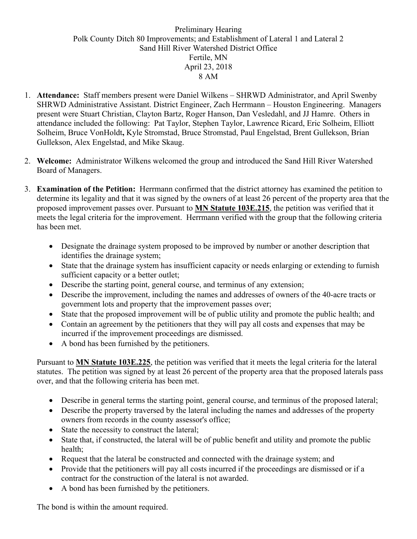## Preliminary Hearing Polk County Ditch 80 Improvements; and Establishment of Lateral 1 and Lateral 2 Sand Hill River Watershed District Office Fertile, MN April 23, 2018 8 AM

- 1. **Attendance:** Staff members present were Daniel Wilkens SHRWD Administrator, and April Swenby SHRWD Administrative Assistant. District Engineer, Zach Herrmann – Houston Engineering. Managers present were Stuart Christian, Clayton Bartz, Roger Hanson, Dan Vesledahl, and JJ Hamre. Others in attendance included the following: Pat Taylor, Stephen Taylor, Lawrence Ricard, Eric Solheim, Elliott Solheim, Bruce VonHoldt**,** Kyle Stromstad, Bruce Stromstad, Paul Engelstad, Brent Gullekson, Brian Gullekson, Alex Engelstad, and Mike Skaug.
- 2. **Welcome:** Administrator Wilkens welcomed the group and introduced the Sand Hill River Watershed Board of Managers.
- 3. **Examination of the Petition:** Herrmann confirmed that the district attorney has examined the petition to determine its legality and that it was signed by the owners of at least 26 percent of the property area that the proposed improvement passes over. Pursuant to **MN Statute 103E.215**, the petition was verified that it meets the legal criteria for the improvement. Herrmann verified with the group that the following criteria has been met.
	- Designate the drainage system proposed to be improved by number or another description that identifies the drainage system;
	- State that the drainage system has insufficient capacity or needs enlarging or extending to furnish sufficient capacity or a better outlet;
	- Describe the starting point, general course, and terminus of any extension;
	- Describe the improvement, including the names and addresses of owners of the 40-acre tracts or government lots and property that the improvement passes over;
	- State that the proposed improvement will be of public utility and promote the public health; and
	- Contain an agreement by the petitioners that they will pay all costs and expenses that may be incurred if the improvement proceedings are dismissed.
	- A bond has been furnished by the petitioners.

Pursuant to **MN Statute 103E.225**, the petition was verified that it meets the legal criteria for the lateral statutes. The petition was signed by at least 26 percent of the property area that the proposed laterals pass over, and that the following criteria has been met.

- Describe in general terms the starting point, general course, and terminus of the proposed lateral;
- Describe the property traversed by the lateral including the names and addresses of the property owners from records in the county assessor's office;
- State the necessity to construct the lateral;
- State that, if constructed, the lateral will be of public benefit and utility and promote the public health;
- Request that the lateral be constructed and connected with the drainage system; and
- Provide that the petitioners will pay all costs incurred if the proceedings are dismissed or if a contract for the construction of the lateral is not awarded.
- A bond has been furnished by the petitioners.

The bond is within the amount required.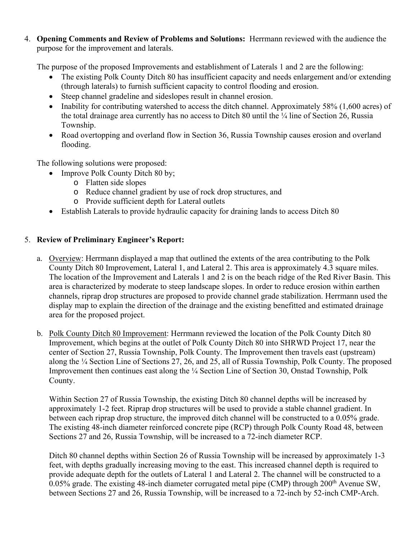4. **Opening Comments and Review of Problems and Solutions:** Herrmann reviewed with the audience the purpose for the improvement and laterals.

The purpose of the proposed Improvements and establishment of Laterals 1 and 2 are the following:

- The existing Polk County Ditch 80 has insufficient capacity and needs enlargement and/or extending (through laterals) to furnish sufficient capacity to control flooding and erosion.
- Steep channel gradeline and sideslopes result in channel erosion.
- Inability for contributing watershed to access the ditch channel. Approximately 58%  $(1,600 \text{ acres})$  of the total drainage area currently has no access to Ditch 80 until the  $\frac{1}{4}$  line of Section 26, Russia Township.
- Road overtopping and overland flow in Section 36, Russia Township causes erosion and overland flooding.

The following solutions were proposed:

- Improve Polk County Ditch 80 by;
	- o Flatten side slopes
	- o Reduce channel gradient by use of rock drop structures, and
	- o Provide sufficient depth for Lateral outlets
- Establish Laterals to provide hydraulic capacity for draining lands to access Ditch 80

## 5. **Review of Preliminary Engineer's Report:**

- a. Overview: Herrmann displayed a map that outlined the extents of the area contributing to the Polk County Ditch 80 Improvement, Lateral 1, and Lateral 2. This area is approximately 4.3 square miles. The location of the Improvement and Laterals 1 and 2 is on the beach ridge of the Red River Basin. This area is characterized by moderate to steep landscape slopes. In order to reduce erosion within earthen channels, riprap drop structures are proposed to provide channel grade stabilization. Herrmann used the display map to explain the direction of the drainage and the existing benefitted and estimated drainage area for the proposed project.
- b. Polk County Ditch 80 Improvement: Herrmann reviewed the location of the Polk County Ditch 80 Improvement, which begins at the outlet of Polk County Ditch 80 into SHRWD Project 17, near the center of Section 27, Russia Township, Polk County. The Improvement then travels east (upstream) along the ¼ Section Line of Sections 27, 26, and 25, all of Russia Township, Polk County. The proposed Improvement then continues east along the ¼ Section Line of Section 30, Onstad Township, Polk County.

Within Section 27 of Russia Township, the existing Ditch 80 channel depths will be increased by approximately 1-2 feet. Riprap drop structures will be used to provide a stable channel gradient. In between each riprap drop structure, the improved ditch channel will be constructed to a 0.05% grade. The existing 48-inch diameter reinforced concrete pipe (RCP) through Polk County Road 48, between Sections 27 and 26, Russia Township, will be increased to a 72-inch diameter RCP.

Ditch 80 channel depths within Section 26 of Russia Township will be increased by approximately 1-3 feet, with depths gradually increasing moving to the east. This increased channel depth is required to provide adequate depth for the outlets of Lateral 1 and Lateral 2. The channel will be constructed to a 0.05% grade. The existing 48-inch diameter corrugated metal pipe (CMP) through  $200<sup>th</sup>$  Avenue SW, between Sections 27 and 26, Russia Township, will be increased to a 72-inch by 52-inch CMP-Arch.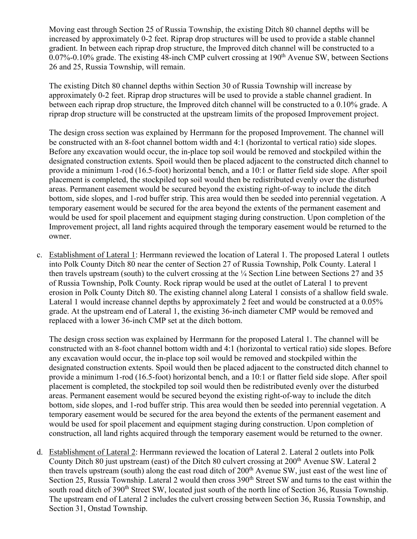Moving east through Section 25 of Russia Township, the existing Ditch 80 channel depths will be increased by approximately 0-2 feet. Riprap drop structures will be used to provide a stable channel gradient. In between each riprap drop structure, the Improved ditch channel will be constructed to a  $0.07\%$ -0.10% grade. The existing 48-inch CMP culvert crossing at 190<sup>th</sup> Avenue SW, between Sections 26 and 25, Russia Township, will remain.

The existing Ditch 80 channel depths within Section 30 of Russia Township will increase by approximately 0-2 feet. Riprap drop structures will be used to provide a stable channel gradient. In between each riprap drop structure, the Improved ditch channel will be constructed to a 0.10% grade. A riprap drop structure will be constructed at the upstream limits of the proposed Improvement project.

The design cross section was explained by Herrmann for the proposed Improvement. The channel will be constructed with an 8-foot channel bottom width and 4:1 (horizontal to vertical ratio) side slopes. Before any excavation would occur, the in-place top soil would be removed and stockpiled within the designated construction extents. Spoil would then be placed adjacent to the constructed ditch channel to provide a minimum 1-rod (16.5-foot) horizontal bench, and a 10:1 or flatter field side slope. After spoil placement is completed, the stockpiled top soil would then be redistributed evenly over the disturbed areas. Permanent easement would be secured beyond the existing right-of-way to include the ditch bottom, side slopes, and 1-rod buffer strip. This area would then be seeded into perennial vegetation. A temporary easement would be secured for the area beyond the extents of the permanent easement and would be used for spoil placement and equipment staging during construction. Upon completion of the Improvement project, all land rights acquired through the temporary easement would be returned to the owner.

c. Establishment of Lateral 1: Herrmann reviewed the location of Lateral 1. The proposed Lateral 1 outlets into Polk County Ditch 80 near the center of Section 27 of Russia Township, Polk County. Lateral 1 then travels upstream (south) to the culvert crossing at the  $\frac{1}{4}$  Section Line between Sections 27 and 35 of Russia Township, Polk County. Rock riprap would be used at the outlet of Lateral 1 to prevent erosion in Polk County Ditch 80. The existing channel along Lateral 1 consists of a shallow field swale. Lateral 1 would increase channel depths by approximately 2 feet and would be constructed at a 0.05% grade. At the upstream end of Lateral 1, the existing 36-inch diameter CMP would be removed and replaced with a lower 36-inch CMP set at the ditch bottom.

The design cross section was explained by Herrmann for the proposed Lateral 1. The channel will be constructed with an 8-foot channel bottom width and 4:1 (horizontal to vertical ratio) side slopes. Before any excavation would occur, the in-place top soil would be removed and stockpiled within the designated construction extents. Spoil would then be placed adjacent to the constructed ditch channel to provide a minimum 1-rod (16.5-foot) horizontal bench, and a 10:1 or flatter field side slope. After spoil placement is completed, the stockpiled top soil would then be redistributed evenly over the disturbed areas. Permanent easement would be secured beyond the existing right-of-way to include the ditch bottom, side slopes, and 1-rod buffer strip. This area would then be seeded into perennial vegetation. A temporary easement would be secured for the area beyond the extents of the permanent easement and would be used for spoil placement and equipment staging during construction. Upon completion of construction, all land rights acquired through the temporary easement would be returned to the owner.

d. Establishment of Lateral 2: Herrmann reviewed the location of Lateral 2. Lateral 2 outlets into Polk County Ditch 80 just upstream (east) of the Ditch 80 culvert crossing at 200<sup>th</sup> Avenue SW. Lateral 2 then travels upstream (south) along the east road ditch of 200<sup>th</sup> Avenue SW, just east of the west line of Section 25, Russia Township. Lateral 2 would then cross 390<sup>th</sup> Street SW and turns to the east within the south road ditch of 390<sup>th</sup> Street SW, located just south of the north line of Section 36, Russia Township. The upstream end of Lateral 2 includes the culvert crossing between Section 36, Russia Township, and Section 31, Onstad Township.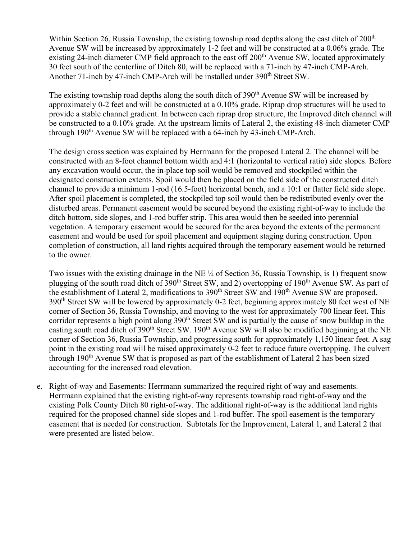Within Section 26, Russia Township, the existing township road depths along the east ditch of 200<sup>th</sup> Avenue SW will be increased by approximately 1-2 feet and will be constructed at a 0.06% grade. The existing 24-inch diameter CMP field approach to the east off 200<sup>th</sup> Avenue SW, located approximately 30 feet south of the centerline of Ditch 80, will be replaced with a 71-inch by 47-inch CMP-Arch. Another 71-inch by 47-inch CMP-Arch will be installed under 390<sup>th</sup> Street SW.

The existing township road depths along the south ditch of  $390<sup>th</sup>$  Avenue SW will be increased by approximately 0-2 feet and will be constructed at a 0.10% grade. Riprap drop structures will be used to provide a stable channel gradient. In between each riprap drop structure, the Improved ditch channel will be constructed to a 0.10% grade. At the upstream limits of Lateral 2, the existing 48-inch diameter CMP through 190<sup>th</sup> Avenue SW will be replaced with a 64-inch by 43-inch CMP-Arch.

The design cross section was explained by Herrmann for the proposed Lateral 2. The channel will be constructed with an 8-foot channel bottom width and 4:1 (horizontal to vertical ratio) side slopes. Before any excavation would occur, the in-place top soil would be removed and stockpiled within the designated construction extents. Spoil would then be placed on the field side of the constructed ditch channel to provide a minimum 1-rod (16.5-foot) horizontal bench, and a 10:1 or flatter field side slope. After spoil placement is completed, the stockpiled top soil would then be redistributed evenly over the disturbed areas. Permanent easement would be secured beyond the existing right-of-way to include the ditch bottom, side slopes, and 1-rod buffer strip. This area would then be seeded into perennial vegetation. A temporary easement would be secured for the area beyond the extents of the permanent easement and would be used for spoil placement and equipment staging during construction. Upon completion of construction, all land rights acquired through the temporary easement would be returned to the owner.

Two issues with the existing drainage in the NE ¼ of Section 36, Russia Township, is 1) frequent snow plugging of the south road ditch of 390<sup>th</sup> Street SW, and 2) overtopping of 190<sup>th</sup> Avenue SW. As part of the establishment of Lateral 2, modifications to 390<sup>th</sup> Street SW and 190<sup>th</sup> Avenue SW are proposed. 390<sup>th</sup> Street SW will be lowered by approximately 0-2 feet, beginning approximately 80 feet west of NE corner of Section 36, Russia Township, and moving to the west for approximately 700 linear feet. This corridor represents a high point along 390<sup>th</sup> Street SW and is partially the cause of snow buildup in the easting south road ditch of 390<sup>th</sup> Street SW. 190<sup>th</sup> Avenue SW will also be modified beginning at the NE corner of Section 36, Russia Township, and progressing south for approximately 1,150 linear feet. A sag point in the existing road will be raised approximately 0-2 feet to reduce future overtopping. The culvert through 190<sup>th</sup> Avenue SW that is proposed as part of the establishment of Lateral 2 has been sized accounting for the increased road elevation.

e. Right-of-way and Easements: Herrmann summarized the required right of way and easements. Herrmann explained that the existing right-of-way represents township road right-of-way and the existing Polk County Ditch 80 right-of-way. The additional right-of-way is the additional land rights required for the proposed channel side slopes and 1-rod buffer. The spoil easement is the temporary easement that is needed for construction. Subtotals for the Improvement, Lateral 1, and Lateral 2 that were presented are listed below.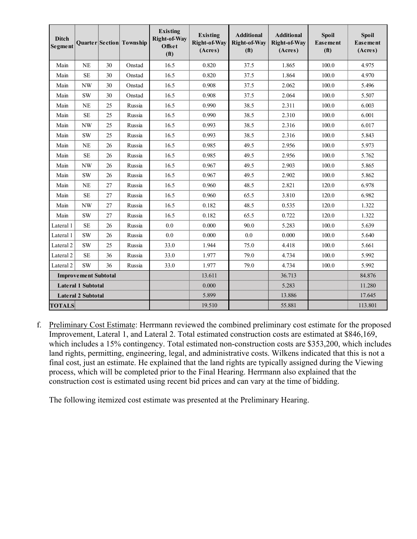| <b>Ditch</b><br>Segment     |               |    | Quarter Section Township | <b>Existing</b><br>Right-of-Way<br>Offset<br>(f <sup>t</sup> ) | <b>Existing</b><br>Right-of-Way<br>(Acres) | <b>Additional</b><br>Right-of-Way<br>(f <sup>t</sup> ) | <b>Additional</b><br>Right-of-Way<br>(Acres) | <b>Spoil</b><br>Easement<br>(f <sup>t</sup> ) | <b>Spoil</b><br>Easement<br>(Acres) |
|-----------------------------|---------------|----|--------------------------|----------------------------------------------------------------|--------------------------------------------|--------------------------------------------------------|----------------------------------------------|-----------------------------------------------|-------------------------------------|
| Main                        | NE            | 30 | Onstad                   | 16.5                                                           | 0.820                                      | 37.5                                                   | 1.865                                        | 100.0                                         | 4.975                               |
| Main                        | <b>SE</b>     | 30 | Onstad                   | 16.5                                                           | 0.820                                      | 37.5                                                   | 1.864                                        | 100.0                                         | 4.970                               |
| Main                        | <b>NW</b>     | 30 | Onstad                   | 16.5                                                           | 0.908                                      | 37.5                                                   | 2.062                                        | 100.0                                         | 5.496                               |
| Main                        | <b>SW</b>     | 30 | Onstad                   | 16.5                                                           | 0.908                                      | 37.5                                                   | 2.064                                        | 100.0                                         | 5.507                               |
| Main                        | NE            | 25 | Russia                   | 16.5                                                           | 0.990                                      | 38.5                                                   | 2.311                                        | 100.0                                         | 6.003                               |
| Main                        | $\rm SE$      | 25 | Russia                   | 16.5                                                           | 0.990                                      | 38.5                                                   | 2.310                                        | 100.0                                         | 6.001                               |
| Main                        | <b>NW</b>     | 25 | Russia                   | 16.5                                                           | 0.993                                      | 38.5                                                   | 2.316                                        | 100.0                                         | 6.017                               |
| Main                        | SW            | 25 | Russia                   | 16.5                                                           | 0.993                                      | 38.5                                                   | 2.316                                        | 100.0                                         | 5.843                               |
| Main                        | NE            | 26 | Russia                   | 16.5                                                           | 0.985                                      | 49.5                                                   | 2.956                                        | 100.0                                         | 5.973                               |
| Main                        | <b>SE</b>     | 26 | Russia                   | 16.5                                                           | 0.985                                      | 49.5                                                   | 2.956                                        | 100.0                                         | 5.762                               |
| Main                        | <b>NW</b>     | 26 | Russia                   | 16.5                                                           | 0.967                                      | 49.5                                                   | 2.903                                        | 100.0                                         | 5.865                               |
| Main                        | <b>SW</b>     | 26 | Russia                   | 16.5                                                           | 0.967                                      | 49.5                                                   | 2.902                                        | 100.0                                         | 5.862                               |
| Main                        | <b>NE</b>     | 27 | Russia                   | 16.5                                                           | 0.960                                      | 48.5                                                   | 2.821                                        | 120.0                                         | 6.978                               |
| Main                        | SE            | 27 | Russia                   | 16.5                                                           | 0.960                                      | 65.5                                                   | 3.810                                        | 120.0                                         | 6.982                               |
| Main                        | NW            | 27 | Russia                   | 16.5                                                           | 0.182                                      | 48.5                                                   | 0.535                                        | 120.0                                         | 1.322                               |
| Main                        | <b>SW</b>     | 27 | Russia                   | 16.5                                                           | 0.182                                      | 65.5                                                   | 0.722                                        | 120.0                                         | 1.322                               |
| Lateral 1                   | <b>SE</b>     | 26 | Russia                   | 0.0                                                            | 0.000                                      | 90.0                                                   | 5.283                                        | 100.0                                         | 5.639                               |
| Lateral 1                   | $\mathrm{SW}$ | 26 | Russia                   | 0.0                                                            | 0.000                                      | 0.0                                                    | 0.000                                        | 100.0                                         | 5.640                               |
| Lateral <sub>2</sub>        | $\mathrm{SW}$ | 25 | Russia                   | 33.0                                                           | 1.944                                      | 75.0                                                   | 4.418                                        | 100.0                                         | 5.661                               |
| Lateral <sub>2</sub>        | <b>SE</b>     | 36 | Russia                   | 33.0                                                           | 1.977                                      | 79.0                                                   | 4.734                                        | 100.0                                         | 5.992                               |
| Lateral <sub>2</sub>        | <b>SW</b>     | 36 | Russia                   | 33.0                                                           | 1.977                                      | 79.0                                                   | 4.734                                        | 100.0                                         | 5.992                               |
| <b>Improvement Subtotal</b> |               |    |                          |                                                                | 13.611                                     |                                                        | 36.713                                       |                                               | 84.876                              |
| <b>Lateral 1 Subtotal</b>   |               |    |                          |                                                                | 0.000                                      |                                                        | 5.283                                        |                                               | 11.280                              |
| <b>Lateral 2 Subtotal</b>   |               |    |                          |                                                                | 5.899                                      |                                                        | 13.886                                       |                                               | 17.645                              |
| <b>TOTALS</b>               |               |    |                          |                                                                | 19.510                                     |                                                        | 55.881                                       |                                               | 113.801                             |

f. Preliminary Cost Estimate: Herrmann reviewed the combined preliminary cost estimate for the proposed Improvement, Lateral 1, and Lateral 2. Total estimated construction costs are estimated at \$846,169, which includes a 15% contingency. Total estimated non-construction costs are \$353,200, which includes land rights, permitting, engineering, legal, and administrative costs. Wilkens indicated that this is not a final cost, just an estimate. He explained that the land rights are typically assigned during the Viewing process, which will be completed prior to the Final Hearing. Herrmann also explained that the construction cost is estimated using recent bid prices and can vary at the time of bidding.

The following itemized cost estimate was presented at the Preliminary Hearing.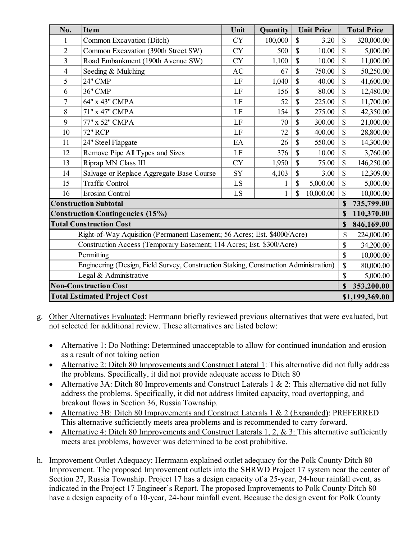| No.                                                                                   | <b>Item</b>                              | Unit           | Quantity | <b>Unit Price</b>  |           | <b>Total Price</b>        |            |
|---------------------------------------------------------------------------------------|------------------------------------------|----------------|----------|--------------------|-----------|---------------------------|------------|
| 1                                                                                     | Common Excavation (Ditch)                | <b>CY</b>      | 100,000  | \$                 | 3.20      | \$                        | 320,000.00 |
| $\overline{2}$                                                                        | Common Excavation (390th Street SW)      | <b>CY</b>      | 500      | \$                 | 10.00     | \$                        | 5,000.00   |
| 3                                                                                     | Road Embankment (190th Avenue SW)        | <b>CY</b>      | 1,100    | \$                 | 10.00     | \$                        | 11,000.00  |
| 4                                                                                     | Seeding & Mulching                       | <b>AC</b>      | 67       | \$                 | 750.00    | \$                        | 50,250.00  |
| 5                                                                                     | <b>24" CMP</b>                           | LF             | 1,040    | $\mathbf{\hat{S}}$ | 40.00     | $\mathbf S$               | 41,600.00  |
| 6                                                                                     | 36" CMP                                  | LF             | 156      | \$                 | 80.00     | \$                        | 12,480.00  |
| 7                                                                                     | 64" x 43" CMPA                           | LF             | 52       | \$                 | 225.00    | $\boldsymbol{\mathsf{S}}$ | 11,700.00  |
| 8                                                                                     | 71" x 47" CMPA                           | LF             | 154      | \$                 | 275.00    | \$                        | 42,350.00  |
| 9                                                                                     | 77" x 52" CMPA                           | LF             | 70       | \$                 | 300.00    | \$                        | 21,000.00  |
| 10                                                                                    | <b>72" RCP</b>                           | LF             | 72       | \$                 | 400.00    | \$                        | 28,800.00  |
| 11                                                                                    | 24" Steel Flapgate                       | EA             | 26       | \$                 | 550.00    | \$                        | 14,300.00  |
| 12                                                                                    | Remove Pipe All Types and Sizes          | LF             | 376      | \$                 | 10.00     | \$                        | 3,760.00   |
| 13                                                                                    | Riprap MN Class III                      | <b>CY</b>      | 1,950    | \$                 | 75.00     | \$                        | 146,250.00 |
| 14                                                                                    | Salvage or Replace Aggregate Base Course | SY             | 4,103    | \$                 | 3.00      | \$                        | 12,309.00  |
| 15                                                                                    | <b>Traffic Control</b>                   | LS             |          | \$                 | 5,000.00  | \$                        | 5,000.00   |
| 16                                                                                    | <b>Erosion Control</b>                   | <b>LS</b>      | 1        | \$                 | 10,000.00 | $\mathbb{S}$              | 10,000.00  |
| <b>Construction Subtotal</b>                                                          |                                          |                |          |                    |           |                           | 735,799.00 |
| <b>Construction Contingencies (15%)</b>                                               | \$                                       | 110,370.00     |          |                    |           |                           |            |
| <b>Total Construction Cost</b>                                                        | \$                                       | 846,169.00     |          |                    |           |                           |            |
| Right-of-Way Aquisition (Permanent Easement; 56 Acres; Est. \$4000/Acre)              | \$                                       | 224,000.00     |          |                    |           |                           |            |
| Construction Access (Temporary Easement; 114 Acres; Est. \$300/Acre)                  |                                          |                |          |                    |           |                           | 34,200.00  |
| Permitting                                                                            | \$                                       | 10,000.00      |          |                    |           |                           |            |
| Engineering (Design, Field Survey, Construction Staking, Construction Administration) |                                          |                |          |                    |           |                           | 80,000.00  |
| Legal & Administrative                                                                | \$                                       | 5,000.00       |          |                    |           |                           |            |
| <b>Non-Construction Cost</b>                                                          | $\mathbf S$                              | 353,200.00     |          |                    |           |                           |            |
| <b>Total Estimated Project Cost</b>                                                   |                                          | \$1,199,369.00 |          |                    |           |                           |            |

- g. Other Alternatives Evaluated: Herrmann briefly reviewed previous alternatives that were evaluated, but not selected for additional review. These alternatives are listed below:
	- Alternative 1: Do Nothing: Determined unacceptable to allow for continued inundation and erosion as a result of not taking action
	- Alternative 2: Ditch 80 Improvements and Construct Lateral 1: This alternative did not fully address the problems. Specifically, it did not provide adequate access to Ditch 80
	- Alternative 3A: Ditch 80 Improvements and Construct Laterals 1 & 2: This alternative did not fully address the problems. Specifically, it did not address limited capacity, road overtopping, and breakout flows in Section 36, Russia Township.
	- Alternative 3B: Ditch 80 Improvements and Construct Laterals 1 & 2 (Expanded): PREFERRED This alternative sufficiently meets area problems and is recommended to carry forward.
	- Alternative 4: Ditch 80 Improvements and Construct Laterals 1, 2, & 3: This alternative sufficiently meets area problems, however was determined to be cost prohibitive.
- h. Improvement Outlet Adequacy: Herrmann explained outlet adequacy for the Polk County Ditch 80 Improvement. The proposed Improvement outlets into the SHRWD Project 17 system near the center of Section 27, Russia Township. Project 17 has a design capacity of a 25-year, 24-hour rainfall event, as indicated in the Project 17 Engineer's Report. The proposed Improvements to Polk County Ditch 80 have a design capacity of a 10-year, 24-hour rainfall event. Because the design event for Polk County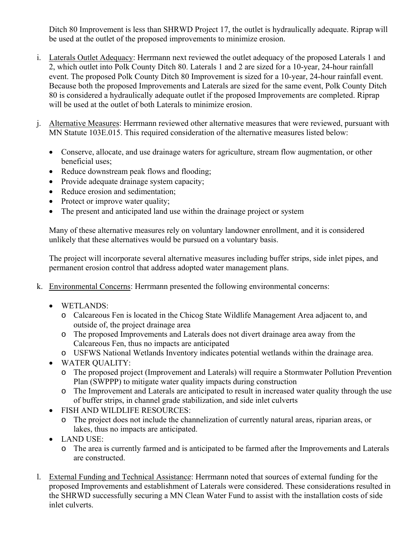Ditch 80 Improvement is less than SHRWD Project 17, the outlet is hydraulically adequate. Riprap will be used at the outlet of the proposed improvements to minimize erosion.

- i. Laterals Outlet Adequacy: Herrmann next reviewed the outlet adequacy of the proposed Laterals 1 and 2, which outlet into Polk County Ditch 80. Laterals 1 and 2 are sized for a 10-year, 24-hour rainfall event. The proposed Polk County Ditch 80 Improvement is sized for a 10-year, 24-hour rainfall event. Because both the proposed Improvements and Laterals are sized for the same event, Polk County Ditch 80 is considered a hydraulically adequate outlet if the proposed Improvements are completed. Riprap will be used at the outlet of both Laterals to minimize erosion.
- j. Alternative Measures: Herrmann reviewed other alternative measures that were reviewed, pursuant with MN Statute 103E.015. This required consideration of the alternative measures listed below:
	- Conserve, allocate, and use drainage waters for agriculture, stream flow augmentation, or other beneficial uses;
	- Reduce downstream peak flows and flooding;
	- Provide adequate drainage system capacity;
	- Reduce erosion and sedimentation;
	- Protect or improve water quality;
	- The present and anticipated land use within the drainage project or system

Many of these alternative measures rely on voluntary landowner enrollment, and it is considered unlikely that these alternatives would be pursued on a voluntary basis.

The project will incorporate several alternative measures including buffer strips, side inlet pipes, and permanent erosion control that address adopted water management plans.

- k. Environmental Concerns: Herrmann presented the following environmental concerns:
	- WETLANDS:
		- o Calcareous Fen is located in the Chicog State Wildlife Management Area adjacent to, and outside of, the project drainage area
		- o The proposed Improvements and Laterals does not divert drainage area away from the Calcareous Fen, thus no impacts are anticipated
		- o USFWS National Wetlands Inventory indicates potential wetlands within the drainage area.
	- WATER QUALITY:
		- o The proposed project (Improvement and Laterals) will require a Stormwater Pollution Prevention Plan (SWPPP) to mitigate water quality impacts during construction
		- o The Improvement and Laterals are anticipated to result in increased water quality through the use of buffer strips, in channel grade stabilization, and side inlet culverts
	- FISH AND WILDLIFE RESOURCES:
		- o The project does not include the channelization of currently natural areas, riparian areas, or lakes, thus no impacts are anticipated.
	- LAND USE:
		- o The area is currently farmed and is anticipated to be farmed after the Improvements and Laterals are constructed.
- l. External Funding and Technical Assistance: Herrmann noted that sources of external funding for the proposed Improvements and establishment of Laterals were considered. These considerations resulted in the SHRWD successfully securing a MN Clean Water Fund to assist with the installation costs of side inlet culverts.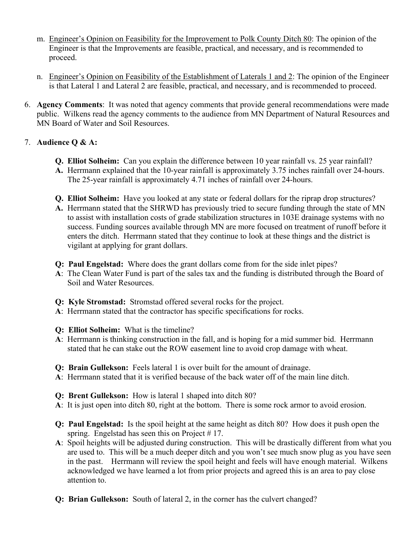- m. Engineer's Opinion on Feasibility for the Improvement to Polk County Ditch 80: The opinion of the Engineer is that the Improvements are feasible, practical, and necessary, and is recommended to proceed.
- n. Engineer's Opinion on Feasibility of the Establishment of Laterals 1 and 2: The opinion of the Engineer is that Lateral 1 and Lateral 2 are feasible, practical, and necessary, and is recommended to proceed.
- 6. **Agency Comments**: It was noted that agency comments that provide general recommendations were made public. Wilkens read the agency comments to the audience from MN Department of Natural Resources and MN Board of Water and Soil Resources.

## 7. **Audience Q & A:**

- **Q. Elliot Solheim:** Can you explain the difference between 10 year rainfall vs. 25 year rainfall?
- **A.** Herrmann explained that the 10-year rainfall is approximately 3.75 inches rainfall over 24-hours. The 25-year rainfall is approximately 4.71 inches of rainfall over 24-hours.
- **Q. Elliot Solheim:** Have you looked at any state or federal dollars for the riprap drop structures?
- **A.** Herrmann stated that the SHRWD has previously tried to secure funding through the state of MN to assist with installation costs of grade stabilization structures in 103E drainage systems with no success. Funding sources available through MN are more focused on treatment of runoff before it enters the ditch. Herrmann stated that they continue to look at these things and the district is vigilant at applying for grant dollars.
- **Q: Paul Engelstad:** Where does the grant dollars come from for the side inlet pipes?
- **A**: The Clean Water Fund is part of the sales tax and the funding is distributed through the Board of Soil and Water Resources.
- **Q: Kyle Stromstad:** Stromstad offered several rocks for the project.
- **A**: Herrmann stated that the contractor has specific specifications for rocks.
- **Q: Elliot Solheim:** What is the timeline?
- **A**: Herrmann is thinking construction in the fall, and is hoping for a mid summer bid. Herrmann stated that he can stake out the ROW easement line to avoid crop damage with wheat.
- **Q: Brain Gullekson:** Feels lateral 1 is over built for the amount of drainage.
- **A**: Herrmann stated that it is verified because of the back water off of the main line ditch.
- **Q: Brent Gullekson:** How is lateral 1 shaped into ditch 80?
- **A**: It is just open into ditch 80, right at the bottom. There is some rock armor to avoid erosion.
- **Q: Paul Engelstad:** Is the spoil height at the same height as ditch 80? How does it push open the spring. Engelstad has seen this on Project  $# 17$ .
- **A**: Spoil heights will be adjusted during construction. This will be drastically different from what you are used to. This will be a much deeper ditch and you won't see much snow plug as you have seen in the past. Herrmann will review the spoil height and feels will have enough material. Wilkens acknowledged we have learned a lot from prior projects and agreed this is an area to pay close attention to.
- **Q: Brian Gullekson:** South of lateral 2, in the corner has the culvert changed?